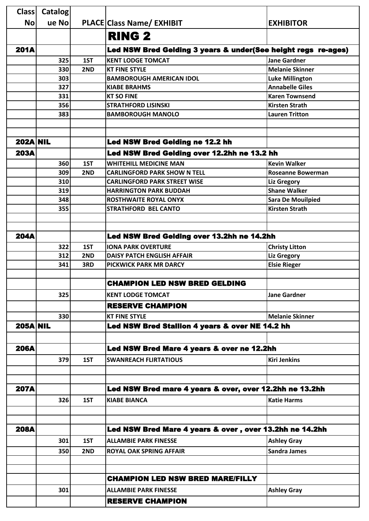| <b>Class</b>    | <b>Catalog</b> |     |                                                               |                          |
|-----------------|----------------|-----|---------------------------------------------------------------|--------------------------|
| <b>No</b>       | ue Nol         |     | <b>PLACE Class Name/ EXHIBIT</b>                              | <b>EXHIBITOR</b>         |
|                 |                |     | <b>RING 2</b>                                                 |                          |
| <b>201A</b>     |                |     | Led NSW Bred Gelding 3 years & under(See height regs re-ages) |                          |
|                 | 325            | 1ST | <b>KENT LODGE TOMCAT</b>                                      | <b>Jane Gardner</b>      |
|                 | 330            | 2ND | <b>KT FINE STYLE</b>                                          | <b>Melanie Skinner</b>   |
|                 | 303            |     | <b>BAMBOROUGH AMERICAN IDOL</b>                               | <b>Luke Millington</b>   |
|                 | 327            |     | <b>KIABE BRAHMS</b>                                           | <b>Annabelle Giles</b>   |
|                 | 331            |     | <b>KT SO FINE</b>                                             | <b>Karen Townsend</b>    |
|                 | 356            |     | <b>STRATHFORD LISINSKI</b>                                    | <b>Kirsten Strath</b>    |
|                 | 383            |     | <b>BAMBOROUGH MANOLO</b>                                      | <b>Lauren Tritton</b>    |
|                 |                |     |                                                               |                          |
|                 |                |     |                                                               |                          |
| <b>202A NIL</b> |                |     | Led NSW Bred Gelding ne 12.2 hh                               |                          |
| <b>203A</b>     |                |     | Led NSW Bred Gelding over 12.2hh ne 13.2 hh                   |                          |
|                 | 360            | 1ST | <b>WHITEHILL MEDICINE MAN</b>                                 | <b>Kevin Walker</b>      |
|                 | 309            | 2ND | <b>CARLINGFORD PARK SHOW N TELL</b>                           | <b>Roseanne Bowerman</b> |
|                 | 310            |     | <b>CARLINGFORD PARK STREET WISE</b>                           | <b>Liz Gregory</b>       |
|                 | 319            |     | <b>HARRINGTON PARK BUDDAH</b>                                 | <b>Shane Walker</b>      |
|                 | 348            |     | <b>ROSTHWAITE ROYAL ONYX</b>                                  | <b>Sara De Mouilpied</b> |
|                 | 355            |     | <b>STRATHFORD BEL CANTO</b>                                   | <b>Kirsten Strath</b>    |
|                 |                |     |                                                               |                          |
|                 |                |     |                                                               |                          |
| <b>204A</b>     |                |     | Led NSW Bred Gelding over 13.2hh ne 14.2hh                    |                          |
|                 | 322            | 1ST | <b>IONA PARK OVERTURE</b>                                     | <b>Christy Litton</b>    |
|                 | 312            | 2ND | <b>DAISY PATCH ENGLISH AFFAIR</b>                             | <b>Liz Gregory</b>       |
|                 | 341            | 3RD | <b>PICKWICK PARK MR DARCY</b>                                 | <b>Elsie Rieger</b>      |
|                 |                |     |                                                               |                          |
|                 |                |     | <b>CHAMPION LED NSW BRED GELDING</b>                          |                          |
|                 | 325            |     | <b>KENT LODGE TOMCAT</b>                                      | <b>Jane Gardner</b>      |
|                 |                |     | <b>RESERVE CHAMPION</b>                                       |                          |
|                 | 330            |     | <b>KT FINE STYLE</b>                                          | <b>Melanie Skinner</b>   |
| <b>205A NIL</b> |                |     | Led NSW Bred Stallion 4 years & over NE 14.2 hh               |                          |
|                 |                |     |                                                               |                          |
|                 |                |     |                                                               |                          |
| <b>206A</b>     |                |     | Led NSW Bred Mare 4 years & over ne 12.2hh                    |                          |
|                 | 379            | 1ST | <b>SWANREACH FLIRTATIOUS</b>                                  | <b>Kiri Jenkins</b>      |
|                 |                |     |                                                               |                          |
|                 |                |     |                                                               |                          |
| <b>207A</b>     |                |     | Led NSW Bred mare 4 years & over, over 12.2hh ne 13.2hh       |                          |
|                 | 326            | 1ST | <b>KIABE BIANCA</b>                                           | <b>Katie Harms</b>       |
|                 |                |     |                                                               |                          |
|                 |                |     |                                                               |                          |
| <b>208A</b>     |                |     | Led NSW Bred Mare 4 years & over, over 13.2hh ne 14.2hh       |                          |
|                 | 301            | 1ST | <b>ALLAMBIE PARK FINESSE</b>                                  | <b>Ashley Gray</b>       |
|                 |                |     |                                                               |                          |
|                 | 350            | 2ND | <b>ROYAL OAK SPRING AFFAIR</b>                                | <b>Sandra James</b>      |
|                 |                |     |                                                               |                          |
|                 |                |     |                                                               |                          |
|                 |                |     | <b>CHAMPION LED NSW BRED MARE/FILLY</b>                       |                          |
|                 | 301            |     | <b>ALLAMBIE PARK FINESSE</b>                                  | <b>Ashley Gray</b>       |
|                 |                |     | <b>RESERVE CHAMPION</b>                                       |                          |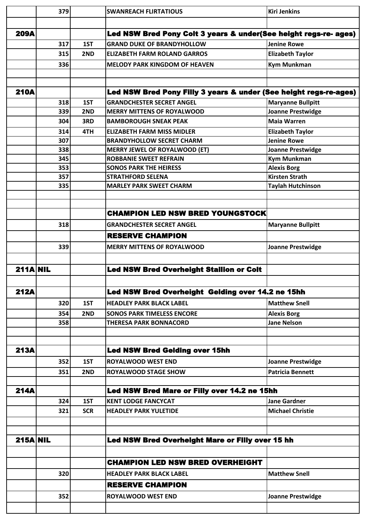|                 | 379        |            | <b>SWANREACH FLIRTATIOUS</b>                                          | <b>Kiri Jenkins</b>                      |
|-----------------|------------|------------|-----------------------------------------------------------------------|------------------------------------------|
|                 |            |            |                                                                       |                                          |
| <b>209A</b>     |            |            | Led NSW Bred Pony Colt 3 years & under(See height regs-re- ages)      |                                          |
|                 | 317        | 1ST        | <b>GRAND DUKE OF BRANDYHOLLOW</b>                                     | <b>Jenine Rowe</b>                       |
|                 | 315        | 2ND        | <b>ELIZABETH FARM ROLAND GARROS</b>                                   | <b>Elizabeth Taylor</b>                  |
|                 | 336        |            | <b>MELODY PARK KINGDOM OF HEAVEN</b>                                  | <b>Kym Munkman</b>                       |
|                 |            |            |                                                                       |                                          |
|                 |            |            |                                                                       |                                          |
| <b>210A</b>     |            |            | Led NSW Bred Pony Filly 3 years & under (See height regs-re-ages)     |                                          |
|                 | 318        | 1ST        | <b>GRANDCHESTER SECRET ANGEL</b>                                      | <b>Maryanne Bullpitt</b>                 |
|                 | 339        | 2ND        | <b>MERRY MITTENS OF ROYALWOOD</b>                                     | <b>Joanne Prestwidge</b>                 |
|                 | 304        | 3RD        | <b>BAMBOROUGH SNEAK PEAK</b>                                          | <b>Maia Warren</b>                       |
|                 | 314        | 4TH        | <b>ELIZABETH FARM MISS MIDLER</b>                                     | <b>Elizabeth Taylor</b>                  |
|                 | 307        |            | <b>BRANDYHOLLOW SECRET CHARM</b>                                      | <b>Jenine Rowe</b>                       |
|                 | 338<br>345 |            | <b>MERRY JEWEL OF ROYALWOOD (ET)</b><br><b>ROBBANIE SWEET REFRAIN</b> | <b>Joanne Prestwidge</b>                 |
|                 | 353        |            | <b>SONOS PARK THE HEIRESS</b>                                         | <b>Kym Munkman</b><br><b>Alexis Borg</b> |
|                 | 357        |            | <b>STRATHFORD SELENA</b>                                              | <b>Kirsten Strath</b>                    |
|                 | 335        |            | <b>MARLEY PARK SWEET CHARM</b>                                        | <b>Taylah Hutchinson</b>                 |
|                 |            |            |                                                                       |                                          |
|                 |            |            |                                                                       |                                          |
|                 |            |            | <b>CHAMPION LED NSW BRED YOUNGSTOCK</b>                               |                                          |
|                 | 318        |            | <b>GRANDCHESTER SECRET ANGEL</b>                                      | <b>Maryanne Bullpitt</b>                 |
|                 |            |            | <b>RESERVE CHAMPION</b>                                               |                                          |
|                 | 339        |            | <b>MERRY MITTENS OF ROYALWOOD</b>                                     | <b>Joanne Prestwidge</b>                 |
|                 |            |            |                                                                       |                                          |
|                 |            |            |                                                                       |                                          |
|                 |            |            |                                                                       |                                          |
| $211A$ NIL      |            |            | <b>Led NSW Bred Overheight Stallion or Colt</b>                       |                                          |
|                 |            |            |                                                                       |                                          |
| <b>212A</b>     |            |            | Led NSW Bred Overheight Gelding over 14.2 ne 15hh                     |                                          |
|                 | 320        | 1ST        | <b>HEADLEY PARK BLACK LABEL</b>                                       | <b>Matthew Snell</b>                     |
|                 | 354        | 2ND        | <b>SONOS PARK TIMELESS ENCORE</b>                                     | <b>Alexis Borg</b>                       |
|                 | 358        |            | <b>THERESA PARK BONNACORD</b>                                         | <b>Jane Nelson</b>                       |
|                 |            |            |                                                                       |                                          |
| <b>213A</b>     |            |            |                                                                       |                                          |
|                 |            |            | <b>Led NSW Bred Gelding over 15hh</b>                                 |                                          |
|                 | 352        | 1ST        | <b>ROYALWOOD WEST END</b>                                             | <b>Joanne Prestwidge</b>                 |
|                 | 351        | 2ND        | <b>ROYALWOOD STAGE SHOW</b>                                           | <b>Patricia Bennett</b>                  |
| <b>214A</b>     |            |            | Led NSW Bred Mare or Filly over 14.2 ne 15hh                          |                                          |
|                 | 324        | 1ST        | <b>KENT LODGE FANCYCAT</b>                                            | <b>Jane Gardner</b>                      |
|                 | 321        | <b>SCR</b> | <b>HEADLEY PARK YULETIDE</b>                                          | <b>Michael Christie</b>                  |
|                 |            |            |                                                                       |                                          |
|                 |            |            |                                                                       |                                          |
| <b>215A NIL</b> |            |            | Led NSW Bred Overheight Mare or Filly over 15 hh                      |                                          |
|                 |            |            |                                                                       |                                          |
|                 |            |            | <b>CHAMPION LED NSW BRED OVERHEIGHT</b>                               |                                          |
|                 |            |            |                                                                       |                                          |
|                 | 320        |            | <b>HEADLEY PARK BLACK LABEL</b>                                       | <b>Matthew Snell</b>                     |
|                 |            |            | <b>RESERVE CHAMPION</b>                                               |                                          |
|                 | 352        |            | <b>ROYALWOOD WEST END</b>                                             | <b>Joanne Prestwidge</b>                 |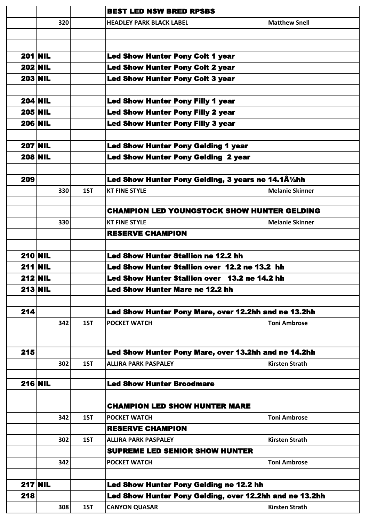|     |                |     | <b>BEST LED NSW BRED RPSBS</b>                          |                        |
|-----|----------------|-----|---------------------------------------------------------|------------------------|
|     | 320            |     | <b>HEADLEY PARK BLACK LABEL</b>                         | <b>Matthew Snell</b>   |
|     |                |     |                                                         |                        |
|     |                |     |                                                         |                        |
|     | $201$ NIL      |     | <b>Led Show Hunter Pony Colt 1 year</b>                 |                        |
|     | <b>202 NIL</b> |     | <b>Led Show Hunter Pony Colt 2 year</b>                 |                        |
|     | <b>203 NIL</b> |     | <b>Led Show Hunter Pony Colt 3 year</b>                 |                        |
|     |                |     |                                                         |                        |
|     | <b>204 NIL</b> |     | <b>Led Show Hunter Pony Filly 1 year</b>                |                        |
|     | <b>205 NIL</b> |     | <b>Led Show Hunter Pony Filly 2 year</b>                |                        |
|     | <b>206 NIL</b> |     | <b>Led Show Hunter Pony Filly 3 year</b>                |                        |
|     |                |     |                                                         |                        |
|     | <b>207 NIL</b> |     | <b>Led Show Hunter Pony Gelding 1 year</b>              |                        |
|     | <b>208 NIL</b> |     | <b>Led Show Hunter Pony Gelding 2 year</b>              |                        |
|     |                |     |                                                         |                        |
| 209 |                |     | Led Show Hunter Pony Gelding, 3 years ne 14.1Â1/2hh     |                        |
|     | 330            | 1ST | <b>KT FINE STYLE</b>                                    | <b>Melanie Skinner</b> |
|     |                |     |                                                         |                        |
|     |                |     | <b>CHAMPION LED YOUNGSTOCK SHOW HUNTER GELDING</b>      |                        |
|     | 330            |     | <b>KT FINE STYLE</b>                                    | <b>Melanie Skinner</b> |
|     |                |     | <b>RESERVE CHAMPION</b>                                 |                        |
|     |                |     |                                                         |                        |
|     | <b>210 NIL</b> |     | <b>Led Show Hunter Stallion ne 12.2 hh</b>              |                        |
|     | $211$ NIL      |     | Led Show Hunter Stallion over 12.2 ne 13.2 hh           |                        |
|     | <b>212 NIL</b> |     | Led Show Hunter Stallion over 13.2 ne 14.2 hh           |                        |
|     | $213$ NIL      |     | <b>Led Show Hunter Mare ne 12.2 hh</b>                  |                        |
|     |                |     |                                                         |                        |
| 214 |                |     | Led Show Hunter Pony Mare, over 12.2hh and ne 13.2hh    |                        |
|     | 342            | 1ST | <b>POCKET WATCH</b>                                     | <b>Toni Ambrose</b>    |
|     |                |     |                                                         |                        |
| 215 |                |     |                                                         |                        |
|     |                |     | Led Show Hunter Pony Mare, over 13.2hh and ne 14.2hh    |                        |
|     | 302            | 1ST | <b>ALLIRA PARK PASPALEY</b>                             | <b>Kirsten Strath</b>  |
|     | <b>216 NIL</b> |     | <b>Led Show Hunter Broodmare</b>                        |                        |
|     |                |     |                                                         |                        |
|     |                |     | <b>CHAMPION LED SHOW HUNTER MARE</b>                    |                        |
|     | 342            | 1ST | <b>POCKET WATCH</b>                                     | <b>Toni Ambrose</b>    |
|     |                |     | <b>RESERVE CHAMPION</b>                                 |                        |
|     | 302            | 1ST | <b>ALLIRA PARK PASPALEY</b>                             | <b>Kirsten Strath</b>  |
|     |                |     | <b>SUPREME LED SENIOR SHOW HUNTER</b>                   |                        |
|     | 342            |     | <b>POCKET WATCH</b>                                     | <b>Toni Ambrose</b>    |
|     |                |     |                                                         |                        |
|     | $217$ NIL      |     | Led Show Hunter Pony Gelding ne 12.2 hh                 |                        |
| 218 |                |     | Led Show Hunter Pony Gelding, over 12.2hh and ne 13.2hh |                        |
|     | 308            | 1ST | <b>CANYON QUASAR</b>                                    | <b>Kirsten Strath</b>  |
|     |                |     |                                                         |                        |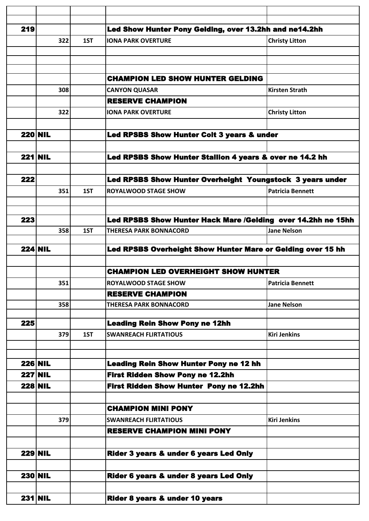| 219 |                |     | Led Show Hunter Pony Gelding, over 13.2hh and ne14.2hh       |                         |
|-----|----------------|-----|--------------------------------------------------------------|-------------------------|
|     | 322            | 1ST | <b>IONA PARK OVERTURE</b>                                    | <b>Christy Litton</b>   |
|     |                |     |                                                              |                         |
|     |                |     |                                                              |                         |
|     |                |     | <b>CHAMPION LED SHOW HUNTER GELDING</b>                      |                         |
|     | 308            |     | <b>CANYON QUASAR</b>                                         | <b>Kirsten Strath</b>   |
|     |                |     | <b>RESERVE CHAMPION</b>                                      |                         |
|     | 322            |     | <b>IONA PARK OVERTURE</b>                                    | <b>Christy Litton</b>   |
|     |                |     |                                                              |                         |
|     | <b>220 NIL</b> |     | Led RPSBS Show Hunter Colt 3 years & under                   |                         |
|     |                |     |                                                              |                         |
|     | $221$ NIL      |     | Led RPSBS Show Hunter Stallion 4 years & over ne 14.2 hh     |                         |
|     |                |     |                                                              |                         |
| 222 |                |     | Led RPSBS Show Hunter Overheight Youngstock 3 years under    |                         |
|     | 351            | 1ST | <b>ROYALWOOD STAGE SHOW</b>                                  | <b>Patricia Bennett</b> |
|     |                |     |                                                              |                         |
| 223 |                |     | Led RPSBS Show Hunter Hack Mare /Gelding over 14.2hh ne 15hh |                         |
|     | 358            | 1ST | <b>THERESA PARK BONNACORD</b>                                | <b>Jane Nelson</b>      |
|     |                |     |                                                              |                         |
|     | <b>224 NIL</b> |     | Led RPSBS Overheight Show Hunter Mare or Gelding over 15 hh  |                         |
|     |                |     | <b>CHAMPION LED OVERHEIGHT SHOW HUNTER</b>                   |                         |
|     | 351            |     | <b>ROYALWOOD STAGE SHOW</b>                                  | <b>Patricia Bennett</b> |
|     |                |     | <b>RESERVE CHAMPION</b>                                      |                         |
|     | 358            |     | <b>THERESA PARK BONNACORD</b>                                | <b>Jane Nelson</b>      |
|     |                |     |                                                              |                         |
| 225 |                |     | <b>Leading Rein Show Pony ne 12hh</b>                        |                         |
|     | 379            | 1ST | <b>SWANREACH FLIRTATIOUS</b>                                 | <b>Kiri Jenkins</b>     |
|     |                |     |                                                              |                         |
|     | <b>226 NIL</b> |     | <b>Leading Rein Show Hunter Pony ne 12 hh</b>                |                         |
|     | <b>227 NIL</b> |     | <b>First Ridden Show Pony ne 12.2hh</b>                      |                         |
|     | <b>228 NIL</b> |     | First Ridden Show Hunter Pony ne 12.2hh                      |                         |
|     |                |     |                                                              |                         |
|     |                |     | <b>CHAMPION MINI PONY</b>                                    |                         |
|     | 379            |     | <b>SWANREACH FLIRTATIOUS</b>                                 | <b>Kiri Jenkins</b>     |
|     |                |     | <b>RESERVE CHAMPION MINI PONY</b>                            |                         |
|     |                |     |                                                              |                         |
|     | <b>229 NIL</b> |     | Rider 3 years & under 6 years Led Only                       |                         |
|     |                |     |                                                              |                         |
|     | <b>230 NIL</b> |     | Rider 6 years & under 8 years Led Only                       |                         |
|     |                |     |                                                              |                         |
|     | $231$ NIL      |     | Rider 8 years & under 10 years                               |                         |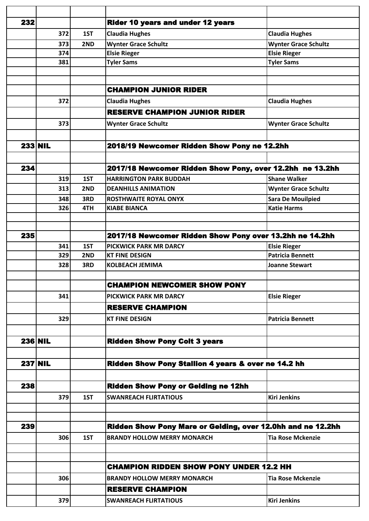| 232 |                |     | <b>Rider 10 years and under 12 years</b>                    |                             |
|-----|----------------|-----|-------------------------------------------------------------|-----------------------------|
|     | 372            | 1ST | <b>Claudia Hughes</b>                                       | <b>Claudia Hughes</b>       |
|     | 373            | 2ND | <b>Wynter Grace Schultz</b>                                 | <b>Wynter Grace Schultz</b> |
|     | 374            |     | <b>Elsie Rieger</b>                                         | <b>Elsie Rieger</b>         |
|     | 381            |     | <b>Tyler Sams</b>                                           | <b>Tyler Sams</b>           |
|     |                |     |                                                             |                             |
|     |                |     |                                                             |                             |
|     |                |     | <b>CHAMPION JUNIOR RIDER</b>                                |                             |
|     | 372            |     | <b>Claudia Hughes</b>                                       | <b>Claudia Hughes</b>       |
|     |                |     | <b>RESERVE CHAMPION JUNIOR RIDER</b>                        |                             |
|     | 373            |     | <b>Wynter Grace Schultz</b>                                 | <b>Wynter Grace Schultz</b> |
|     |                |     |                                                             |                             |
|     | <b>233 NIL</b> |     | 2018/19 Newcomer Ridden Show Pony ne 12.2hh                 |                             |
|     |                |     |                                                             |                             |
| 234 |                |     | 2017/18 Newcomer Ridden Show Pony, over 12.2hh ne 13.2hh    |                             |
|     | 319            | 1ST | <b>HARRINGTON PARK BUDDAH</b>                               | <b>Shane Walker</b>         |
|     | 313            | 2ND | <b>DEANHILLS ANIMATION</b>                                  | <b>Wynter Grace Schultz</b> |
|     | 348            | 3RD | <b>ROSTHWAITE ROYAL ONYX</b>                                | <b>Sara De Mouilpied</b>    |
|     | 326            | 4TH | <b>KIABE BIANCA</b>                                         | <b>Katie Harms</b>          |
|     |                |     |                                                             |                             |
|     |                |     |                                                             |                             |
| 235 |                |     | 2017/18 Newcomer Ridden Show Pony over 13.2hh ne 14.2hh     |                             |
|     | 341            | 1ST | <b>PICKWICK PARK MR DARCY</b>                               | <b>Elsie Rieger</b>         |
|     | 329            | 2ND | <b>KT FINE DESIGN</b>                                       | <b>Patricia Bennett</b>     |
|     | 328            | 3RD | <b>KOLBEACH JEMIMA</b>                                      | <b>Joanne Stewart</b>       |
|     |                |     |                                                             |                             |
|     |                |     | <b>CHAMPION NEWCOMER SHOW PONY</b>                          |                             |
|     | 341            |     | PICKWICK PARK MR DARCY                                      | <b>Elsie Rieger</b>         |
|     |                |     | <b>RESERVE CHAMPION</b>                                     |                             |
|     | 329            |     | <b>KT FINE DESIGN</b>                                       | <b>Patricia Bennett</b>     |
|     |                |     |                                                             |                             |
|     | <b>236 NIL</b> |     | <b>Ridden Show Pony Colt 3 years</b>                        |                             |
|     |                |     |                                                             |                             |
|     |                |     |                                                             |                             |
|     | <b>237 NIL</b> |     | Ridden Show Pony Stallion 4 years & over ne 14.2 hh         |                             |
|     |                |     |                                                             |                             |
| 238 |                |     | <b>Ridden Show Pony or Gelding ne 12hh</b>                  |                             |
|     | 379            | 1ST | <b>SWANREACH FLIRTATIOUS</b>                                | <b>Kiri Jenkins</b>         |
|     |                |     |                                                             |                             |
|     |                |     |                                                             |                             |
| 239 |                |     | Ridden Show Pony Mare or Gelding, over 12.0hh and ne 12.2hh |                             |
|     | 306            | 1ST | <b>BRANDY HOLLOW MERRY MONARCH</b>                          | <b>Tia Rose Mckenzie</b>    |
|     |                |     |                                                             |                             |
|     |                |     |                                                             |                             |
|     |                |     | <b>CHAMPION RIDDEN SHOW PONY UNDER 12.2 HH</b>              |                             |
|     | 306            |     | <b>BRANDY HOLLOW MERRY MONARCH</b>                          | <b>Tia Rose Mckenzie</b>    |
|     |                |     | <b>RESERVE CHAMPION</b>                                     |                             |
|     | 379            |     | <b>SWANREACH FLIRTATIOUS</b>                                | <b>Kiri Jenkins</b>         |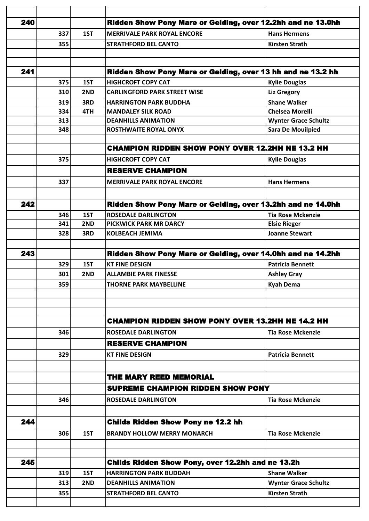| 240 |     |     | Ridden Show Pony Mare or Gelding, over 12.2hh and ne 13.0hh |                             |
|-----|-----|-----|-------------------------------------------------------------|-----------------------------|
|     | 337 | 1ST | <b>MERRIVALE PARK ROYAL ENCORE</b>                          | <b>Hans Hermens</b>         |
|     | 355 |     | <b>STRATHFORD BEL CANTO</b>                                 | <b>Kirsten Strath</b>       |
|     |     |     |                                                             |                             |
|     |     |     |                                                             |                             |
| 241 |     |     | Ridden Show Pony Mare or Gelding, over 13 hh and ne 13.2 hh |                             |
|     | 375 | 1ST | <b>HIGHCROFT COPY CAT</b>                                   | <b>Kylie Douglas</b>        |
|     | 310 | 2ND | <b>CARLINGFORD PARK STREET WISE</b>                         | <b>Liz Gregory</b>          |
|     | 319 | 3RD | <b>HARRINGTON PARK BUDDHA</b>                               | <b>Shane Walker</b>         |
|     | 334 | 4TH | <b>MANDALEY SILK ROAD</b>                                   | <b>Chelsea Morelli</b>      |
|     | 313 |     | <b>DEANHILLS ANIMATION</b>                                  | <b>Wynter Grace Schultz</b> |
|     | 348 |     | <b>ROSTHWAITE ROYAL ONYX</b>                                | <b>Sara De Mouilpied</b>    |
|     |     |     | <b>CHAMPION RIDDEN SHOW PONY OVER 12.2HH NE 13.2 HH</b>     |                             |
|     |     |     |                                                             |                             |
|     | 375 |     | <b>HIGHCROFT COPY CAT</b>                                   | <b>Kylie Douglas</b>        |
|     |     |     | <b>RESERVE CHAMPION</b>                                     |                             |
|     | 337 |     | <b>MERRIVALE PARK ROYAL ENCORE</b>                          | <b>Hans Hermens</b>         |
|     |     |     |                                                             |                             |
| 242 |     |     | Ridden Show Pony Mare or Gelding, over 13.2hh and ne 14.0hh |                             |
|     | 346 | 1ST | <b>ROSEDALE DARLINGTON</b>                                  | <b>Tia Rose Mckenzie</b>    |
|     | 341 | 2ND | <b>PICKWICK PARK MR DARCY</b>                               | <b>Elsie Rieger</b>         |
|     | 328 | 3RD | <b>KOLBEACH JEMIMA</b>                                      | <b>Joanne Stewart</b>       |
|     |     |     |                                                             |                             |
| 243 |     |     | Ridden Show Pony Mare or Gelding, over 14.0hh and ne 14.2hh |                             |
|     | 329 | 1ST | <b>KT FINE DESIGN</b>                                       | <b>Patricia Bennett</b>     |
|     | 301 | 2ND | <b>ALLAMBIE PARK FINESSE</b>                                | <b>Ashley Gray</b>          |
|     | 359 |     | THORNE PARK MAYBELLINE                                      | <b>Kyah Dema</b>            |
|     |     |     |                                                             |                             |
|     |     |     |                                                             |                             |
|     |     |     |                                                             |                             |
|     |     |     | <b>CHAMPION RIDDEN SHOW PONY OVER 13.2HH NE 14.2 HH</b>     |                             |
|     | 346 |     | <b>ROSEDALE DARLINGTON</b>                                  | <b>Tia Rose Mckenzie</b>    |
|     |     |     | <b>RESERVE CHAMPION</b>                                     |                             |
|     | 329 |     | <b>KT FINE DESIGN</b>                                       | <b>Patricia Bennett</b>     |
|     |     |     |                                                             |                             |
|     |     |     | <b>THE MARY REED MEMORIAL</b>                               |                             |
|     |     |     | <b>SUPREME CHAMPION RIDDEN SHOW PONY</b>                    |                             |
|     | 346 |     | <b>ROSEDALE DARLINGTON</b>                                  | <b>Tia Rose Mckenzie</b>    |
|     |     |     |                                                             |                             |
| 244 |     |     | <b>Childs Ridden Show Pony ne 12.2 hh</b>                   |                             |
|     | 306 | 1ST | <b>BRANDY HOLLOW MERRY MONARCH</b>                          | <b>Tia Rose Mckenzie</b>    |
|     |     |     |                                                             |                             |
|     |     |     |                                                             |                             |
| 245 |     |     | Childs Ridden Show Pony, over 12.2hh and ne 13.2h           |                             |
|     | 319 | 1ST | <b>HARRINGTON PARK BUDDAH</b>                               | <b>Shane Walker</b>         |
|     | 313 | 2ND | <b>DEANHILLS ANIMATION</b>                                  | <b>Wynter Grace Schultz</b> |
|     | 355 |     | <b>STRATHFORD BEL CANTO</b>                                 | <b>Kirsten Strath</b>       |
|     |     |     |                                                             |                             |
|     |     |     |                                                             |                             |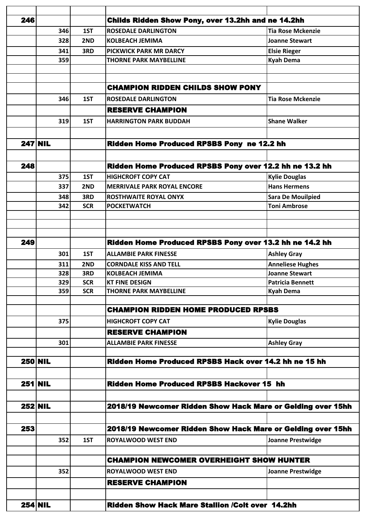| 246            |                |            | Childs Ridden Show Pony, over 13.2hh and ne 14.2hh          |                          |
|----------------|----------------|------------|-------------------------------------------------------------|--------------------------|
|                | 346            | 1ST        | <b>ROSEDALE DARLINGTON</b>                                  | <b>Tia Rose Mckenzie</b> |
|                | 328            | 2ND        | <b>KOLBEACH JEMIMA</b>                                      | <b>Joanne Stewart</b>    |
|                | 341            | 3RD        | <b>PICKWICK PARK MR DARCY</b>                               | <b>Elsie Rieger</b>      |
|                | 359            |            | <b>THORNE PARK MAYBELLINE</b>                               | <b>Kyah Dema</b>         |
|                |                |            |                                                             |                          |
|                |                |            |                                                             |                          |
|                |                |            | <b>CHAMPION RIDDEN CHILDS SHOW PONY</b>                     |                          |
|                | 346            | 1ST        | <b>ROSEDALE DARLINGTON</b>                                  | <b>Tia Rose Mckenzie</b> |
|                |                |            | <b>RESERVE CHAMPION</b>                                     |                          |
|                | 319            | 1ST        | <b>HARRINGTON PARK BUDDAH</b>                               | <b>Shane Walker</b>      |
|                |                |            |                                                             |                          |
|                |                |            |                                                             |                          |
|                | <b>247 NIL</b> |            | Ridden Home Produced RPSBS Pony ne 12.2 hh                  |                          |
|                |                |            |                                                             |                          |
| 248            |                |            | Ridden Home Produced RPSBS Pony over 12.2 hh ne 13.2 hh     |                          |
|                | 375            | 1ST        | <b>HIGHCROFT COPY CAT</b>                                   | <b>Kylie Douglas</b>     |
|                | 337            | 2ND        | <b>MERRIVALE PARK ROYAL ENCORE</b>                          | <b>Hans Hermens</b>      |
|                | 348            | 3RD        | <b>ROSTHWAITE ROYAL ONYX</b>                                | <b>Sara De Mouilpied</b> |
|                | 342            | <b>SCR</b> | <b>POCKETWATCH</b>                                          | <b>Toni Ambrose</b>      |
|                |                |            |                                                             |                          |
|                |                |            |                                                             |                          |
|                |                |            |                                                             |                          |
| 249            |                |            | Ridden Home Produced RPSBS Pony over 13.2 hh ne 14.2 hh     |                          |
|                | 301            | 1ST        | <b>ALLAMBIE PARK FINESSE</b>                                | <b>Ashley Gray</b>       |
|                | 311            | 2ND        | <b>CORNDALE KISS AND TELL</b>                               | <b>Anneliese Hughes</b>  |
|                | 328            | 3RD        | <b>KOLBEACH JEMIMA</b>                                      | <b>Joanne Stewart</b>    |
|                | 329            | <b>SCR</b> | <b>KT FINE DESIGN</b>                                       | <b>Patricia Bennett</b>  |
|                | 359            | <b>SCR</b> | <b>THORNE PARK MAYBELLINE</b>                               | <b>Kyah Dema</b>         |
|                |                |            | <b>CHAMPION RIDDEN HOME PRODUCED RPSBS</b>                  |                          |
|                |                |            |                                                             |                          |
|                | 375            |            | <b>HIGHCROFT COPY CAT</b>                                   | <b>Kylie Douglas</b>     |
|                |                |            | <b>RESERVE CHAMPION</b>                                     |                          |
|                | 301            |            | <b>ALLAMBIE PARK FINESSE</b>                                | <b>Ashley Gray</b>       |
|                |                |            |                                                             |                          |
|                | <b>250 NIL</b> |            | Ridden Home Produced RPSBS Hack over 14.2 hh ne 15 hh       |                          |
|                |                |            |                                                             |                          |
| $251$ NIL      |                |            | <b>Ridden Home Produced RPSBS Hackover 15 hh</b>            |                          |
|                |                |            |                                                             |                          |
| <b>252 NIL</b> |                |            | 2018/19 Newcomer Ridden Show Hack Mare or Gelding over 15hh |                          |
|                |                |            |                                                             |                          |
| 253            |                |            | 2018/19 Newcomer Ridden Show Hack Mare or Gelding over 15hh |                          |
|                |                |            |                                                             |                          |
|                | 352            | 1ST        | <b>ROYALWOOD WEST END</b>                                   | <b>Joanne Prestwidge</b> |
|                |                |            |                                                             |                          |
|                |                |            | <b>CHAMPION NEWCOMER OVERHEIGHT SHOW HUNTER</b>             |                          |
|                | 352            |            | <b>ROYALWOOD WEST END</b>                                   | <b>Joanne Prestwidge</b> |
|                |                |            | <b>RESERVE CHAMPION</b>                                     |                          |
|                |                |            |                                                             |                          |
|                | $254$ NIL      |            | <b>Ridden Show Hack Mare Stallion /Colt over 14.2hh</b>     |                          |